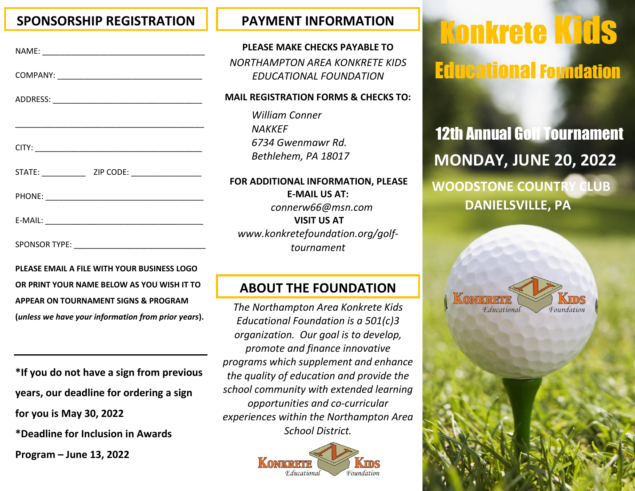### **SPONSORSHIP REGISTRATION PAYMENT INFORMATION**

**PLEASE EMAIL A FILE WITH YOUR BUSINESS LOGO OR PRINT YOUR NAME BELOW AS YOU WISH IT TO APPEAR ON TOURNAMENT SIGNS & PROGRAM (***unless we have your information from prior years***).**

**\*If you do not have a sign from previous years, our deadline for ordering a sign for you is May 30, 2022 \*Deadline for Inclusion in Awards** 

**Program – June 13, 2022**

**PLEASE MAKE CHECKS PAYABLE TO** *NORTHAMPTON AREA KONKRETE KIDS EDUCATIONAL FOUNDATION*

#### **MAIL REGISTRATION FORMS & CHECKS TO:**

*William Conner NAKKEF 6734 Gwenmawr Rd. Bethlehem, PA 18017*

#### **FOR ADDITIONAL INFORMATION, PLEASE E-MAIL US AT:**  *connerw66@msn.com* **VISIT US AT** *www.konkretefoundation.org/golftournament*

## **ABOUT THE FOUNDATION**

*The Northampton Area Konkrete Kids Educational Foundation is a 501(c)3 organization. Our goal is to develop, promote and finance innovative programs which supplement and enhance the quality of education and provide the school community with extended learning opportunities and co-curricular experiences within the Northampton Area School District.*



# Konkrete Kids Educational Foundation

12th Annual Golf Tournament **MONDAY, JUNE 20, 2022 WOODSTONE COUNTRY CLUB**

 **DANIELSVILLE, PA**